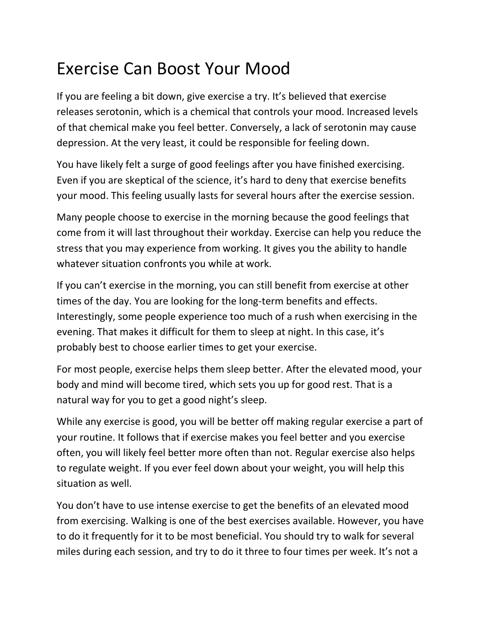## Exercise Can Boost Your Mood

If you are feeling a bit down, give exercise a try. It's believed that exercise releases serotonin, which is a chemical that controls your mood. Increased levels of that chemical make you feel better. Conversely, a lack of serotonin may cause depression. At the very least, it could be responsible for feeling down.

You have likely felt a surge of good feelings after you have finished exercising. Even if you are skeptical of the science, it's hard to deny that exercise benefits your mood. This feeling usually lasts for several hours after the exercise session.

Many people choose to exercise in the morning because the good feelings that come from it will last throughout their workday. Exercise can help you reduce the stress that you may experience from working. It gives you the ability to handle whatever situation confronts you while at work.

If you can't exercise in the morning, you can still benefit from exercise at other times of the day. You are looking for the long-term benefits and effects. Interestingly, some people experience too much of a rush when exercising in the evening. That makes it difficult for them to sleep at night. In this case, it's probably best to choose earlier times to get your exercise.

For most people, exercise helps them sleep better. After the elevated mood, your body and mind will become tired, which sets you up for good rest. That is a natural way for you to get a good night's sleep.

While any exercise is good, you will be better off making regular exercise a part of your routine. It follows that if exercise makes you feel better and you exercise often, you will likely feel better more often than not. Regular exercise also helps to regulate weight. If you ever feel down about your weight, you will help this situation as well.

You don't have to use intense exercise to get the benefits of an elevated mood from exercising. Walking is one of the best exercises available. However, you have to do it frequently for it to be most beneficial. You should try to walk for several miles during each session, and try to do it three to four times per week. It's not a